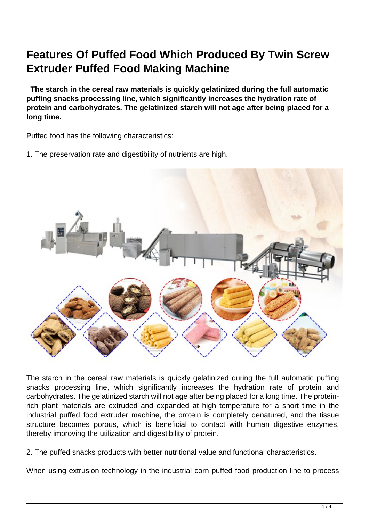## **Features Of Puffed Food Which Produced By Twin Screw Extruder Puffed Food Making Machine**

 **The starch in the cereal raw materials is quickly gelatinized during the full automatic puffing snacks processing line, which significantly increases the hydration rate of protein and carbohydrates. The gelatinized starch will not age after being placed for a long time.**

Puffed food has the following characteristics:

1. The preservation rate and digestibility of nutrients are high.



The starch in the cereal raw materials is quickly gelatinized during the full automatic puffing snacks processing line, which significantly increases the hydration rate of protein and carbohydrates. The gelatinized starch will not age after being placed for a long time. The proteinrich plant materials are extruded and expanded at high temperature for a short time in the industrial puffed food extruder machine, the protein is completely denatured, and the tissue structure becomes porous, which is beneficial to contact with human digestive enzymes, thereby improving the utilization and digestibility of protein.

2. The puffed snacks products with better nutritional value and functional characteristics.

When using extrusion technology in the industrial corn puffed food production line to process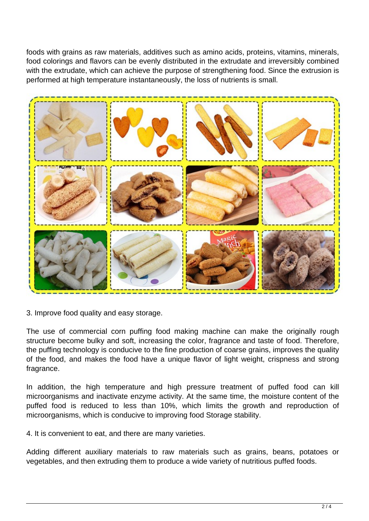foods with grains as raw materials, additives such as amino acids, proteins, vitamins, minerals, food colorings and flavors can be evenly distributed in the extrudate and irreversibly combined with the extrudate, which can achieve the purpose of strengthening food. Since the extrusion is performed at high temperature instantaneously, the loss of nutrients is small.



3. Improve food quality and easy storage.

The use of commercial corn puffing food making machine can make the originally rough structure become bulky and soft, increasing the color, fragrance and taste of food. Therefore, the puffing technology is conducive to the fine production of coarse grains, improves the quality of the food, and makes the food have a unique flavor of light weight, crispness and strong fragrance.

In addition, the high temperature and high pressure treatment of puffed food can kill microorganisms and inactivate enzyme activity. At the same time, the moisture content of the puffed food is reduced to less than 10%, which limits the growth and reproduction of microorganisms, which is conducive to improving food Storage stability.

4. It is convenient to eat, and there are many varieties.

Adding different auxiliary materials to raw materials such as grains, beans, potatoes or vegetables, and then extruding them to produce a wide variety of nutritious puffed foods.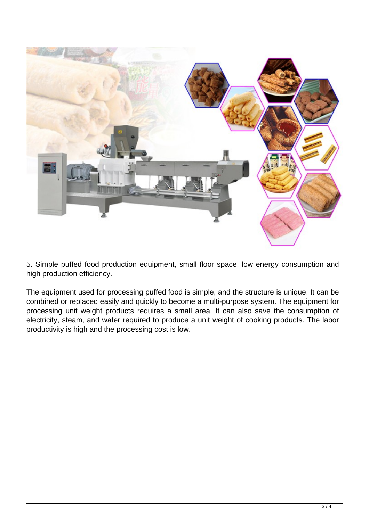

5. Simple puffed food production equipment, small floor space, low energy consumption and high production efficiency.

The equipment used for processing puffed food is simple, and the structure is unique. It can be combined or replaced easily and quickly to become a multi-purpose system. The equipment for processing unit weight products requires a small area. It can also save the consumption of electricity, steam, and water required to produce a unit weight of cooking products. The labor productivity is high and the processing cost is low.